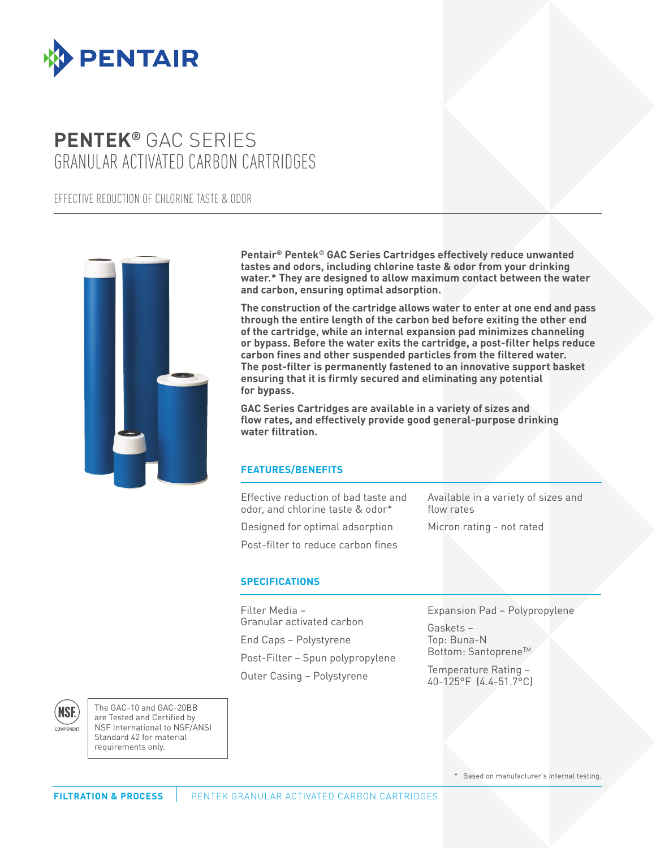

# **PENTEK®** GAC SERIES GRANULAR ACTIVATED CARBON CARTRIDGES

EFFECTIVE REDUCTION OF CHLORINE TASTE & ODOR



**Pentair® Pentek® GAC Series Cartridges effectively reduce unwanted tastes and odors, including chlorine taste & odor from your drinking water.\* They are designed to allow maximum contact between the water and carbon, ensuring optimal adsorption.**

**The construction of the cartridge allows water to enter at one end and pass through the entire length of the carbon bed before exiting the other end of the cartridge, while an internal expansion pad minimizes channeling or bypass. Before the water exits the cartridge, a post-filter helps reduce carbon fines and other suspended particles from the filtered water. The post-filter is permanently fastened to an innovative support basket ensuring that it is firmly secured and eliminating any potential for bypass.**

**GAC Series Cartridges are available in a variety of sizes and flow rates, and effectively provide good general-purpose drinking water filtration.**

## **FEATURES/BENEFITS**

Effective reduction of bad taste and odor, and chlorine taste & odor\*

Designed for optimal adsorption Post-filter to reduce carbon fines Available in a variety of sizes and flow rates

Micron rating - not rated

## **SPECIFICATIONS**

Filter Media – Granular activated carbon End Caps – Polystyrene Post-Filter – Spun polypropylene Outer Casing – Polystyrene

Expansion Pad – Polypropylene

Gaskets – Top: Buna-N Bottom: Santoprene™

Temperature Rating – 40-125°F (4.4-51.7°C)



The GAC-10 and GAC-20BB are Tested and Certified by NSF International to NSF/ANSI Standard 42 for material requirements only.

\* Based on manufacturer's internal testing.